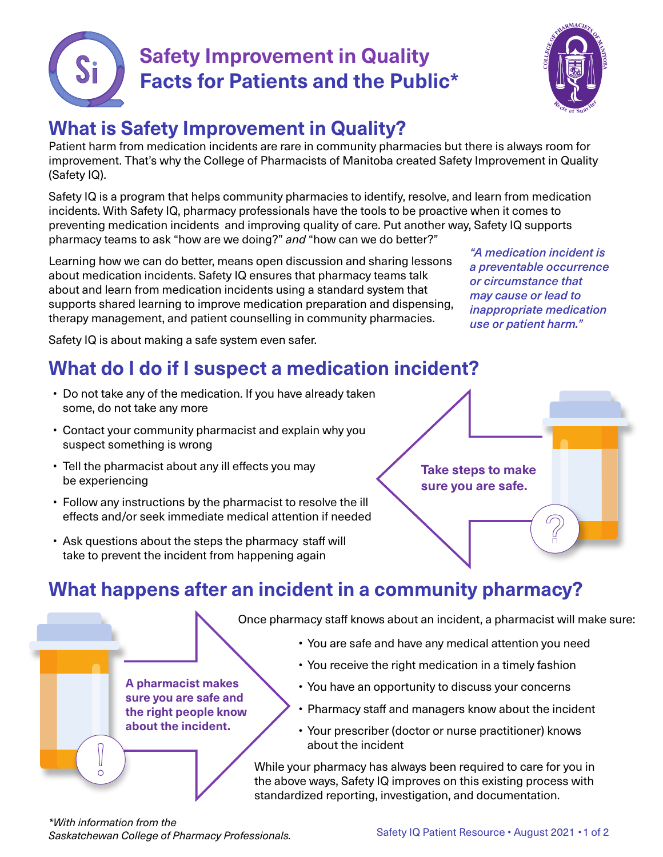



# **What is Safety Improvement in Quality?**

Patient harm from medication incidents are rare in community pharmacies but there is always room for improvement. That's why the College of Pharmacists of Manitoba created Safety Improvement in Quality (Safety IQ).

Safety IQ is a program that helps community pharmacies to identify, resolve, and learn from medication incidents. With Safety IQ, pharmacy professionals have the tools to be proactive when it comes to preventing medication incidents and improving quality of care. Put another way, Safety IQ supports pharmacy teams to ask "how are we doing?" *and* "how can we do better?"

Learning how we can do better, means open discussion and sharing lessons about medication incidents. Safety IQ ensures that pharmacy teams talk about and learn from medication incidents using a standard system that supports shared learning to improve medication preparation and dispensing, therapy management, and patient counselling in community pharmacies.

"A medication incident is a preventable occurrence or circumstance that may cause or lead to inappropriate medication use or patient harm."

G

Safety IQ is about making a safe system even safer.

# **What do I do if I suspect a medication incident?**

- Do not take any of the medication. If you have already taken some, do not take any more
- Contact your community pharmacist and explain why you suspect something is wrong
- Tell the pharmacist about any ill effects you may be experiencing

**A pharmacist makes sure you are safe and the right people know about the incident.**

- Follow any instructions by the pharmacist to resolve the ill effects and/or seek immediate medical attention if needed
- Ask questions about the steps the pharmacy staff will take to prevent the incident from happening again

**Take steps to make sure you are safe.**

## **What happens after an incident in a community pharmacy?**

Once pharmacy staff knows about an incident, a pharmacist will make sure:

- You are safe and have any medical attention you need
- You receive the right medication in a timely fashion
- You have an opportunity to discuss your concerns
- Pharmacy staff and managers know about the incident
- Your prescriber (doctor or nurse practitioner) knows about the incident

While your pharmacy has always been required to care for you in the above ways, Safety IQ improves on this existing process with standardized reporting, investigation, and documentation.

*\*With information from the Saskatchewan College of Pharmacy Professionals.*